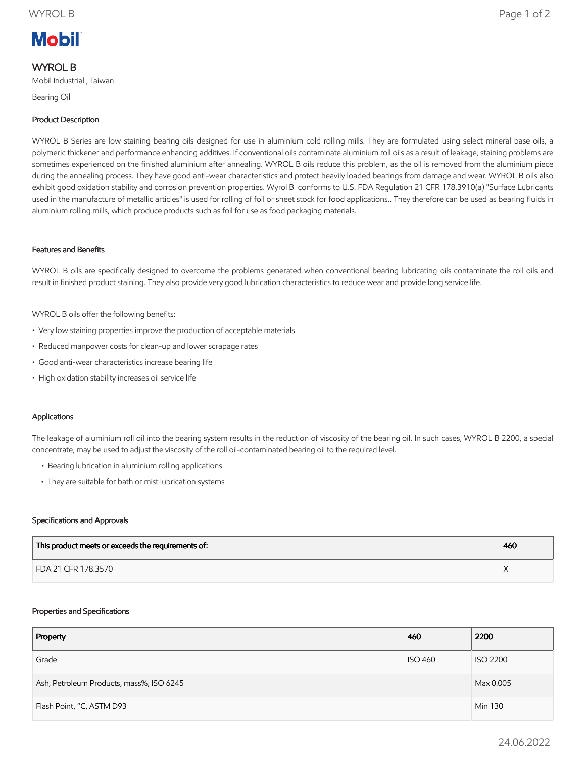# **Mobil**

## WYROL B

Mobil Industrial , Taiwan

Bearing Oil

### Product Description

WYROL B Series are low staining bearing oils designed for use in aluminium cold rolling mills. They are formulated using select mineral base oils, a polymeric thickener and performance enhancing additives. If conventional oils contaminate aluminium roll oils as a result of leakage, staining problems are sometimes experienced on the finished aluminium after annealing. WYROL B oils reduce this problem, as the oil is removed from the aluminium piece during the annealing process. They have good anti-wear characteristics and protect heavily loaded bearings from damage and wear. WYROL B oils also exhibit good oxidation stability and corrosion prevention properties. Wyrol B conforms to U.S. FDA Regulation 21 CFR 178.3910(a) "Surface Lubricants used in the manufacture of metallic articles" is used for rolling of foil or sheet stock for food applications.. They therefore can be used as bearing fluids in aluminium rolling mills, which produce products such as foil for use as food packaging materials.

#### Features and Benefits

WYROL B oils are specifically designed to overcome the problems generated when conventional bearing lubricating oils contaminate the roll oils and result in finished product staining. They also provide very good lubrication characteristics to reduce wear and provide long service life.

WYROL B oils offer the following benefits:

- Very low staining properties improve the production of acceptable materials
- Reduced manpower costs for clean-up and lower scrapage rates
- Good anti-wear characteristics increase bearing life
- High oxidation stability increases oil service life

#### Applications

The leakage of aluminium roll oil into the bearing system results in the reduction of viscosity of the bearing oil. In such cases, WYROL B 2200, a special concentrate, may be used to adjust the viscosity of the roll oil-contaminated bearing oil to the required level.

- Bearing lubrication in aluminium rolling applications
- They are suitable for bath or mist lubrication systems

#### Specifications and Approvals

| This product meets or exceeds the requirements of: | 460 |
|----------------------------------------------------|-----|
| FDA 21 CFR 178.3570                                |     |

#### Properties and Specifications

| Property                                 | 460            | 2200            |
|------------------------------------------|----------------|-----------------|
| Grade                                    | <b>ISO 460</b> | <b>ISO 2200</b> |
| Ash, Petroleum Products, mass%, ISO 6245 |                | Max 0.005       |
| Flash Point, °C, ASTM D93                |                | Min 130         |